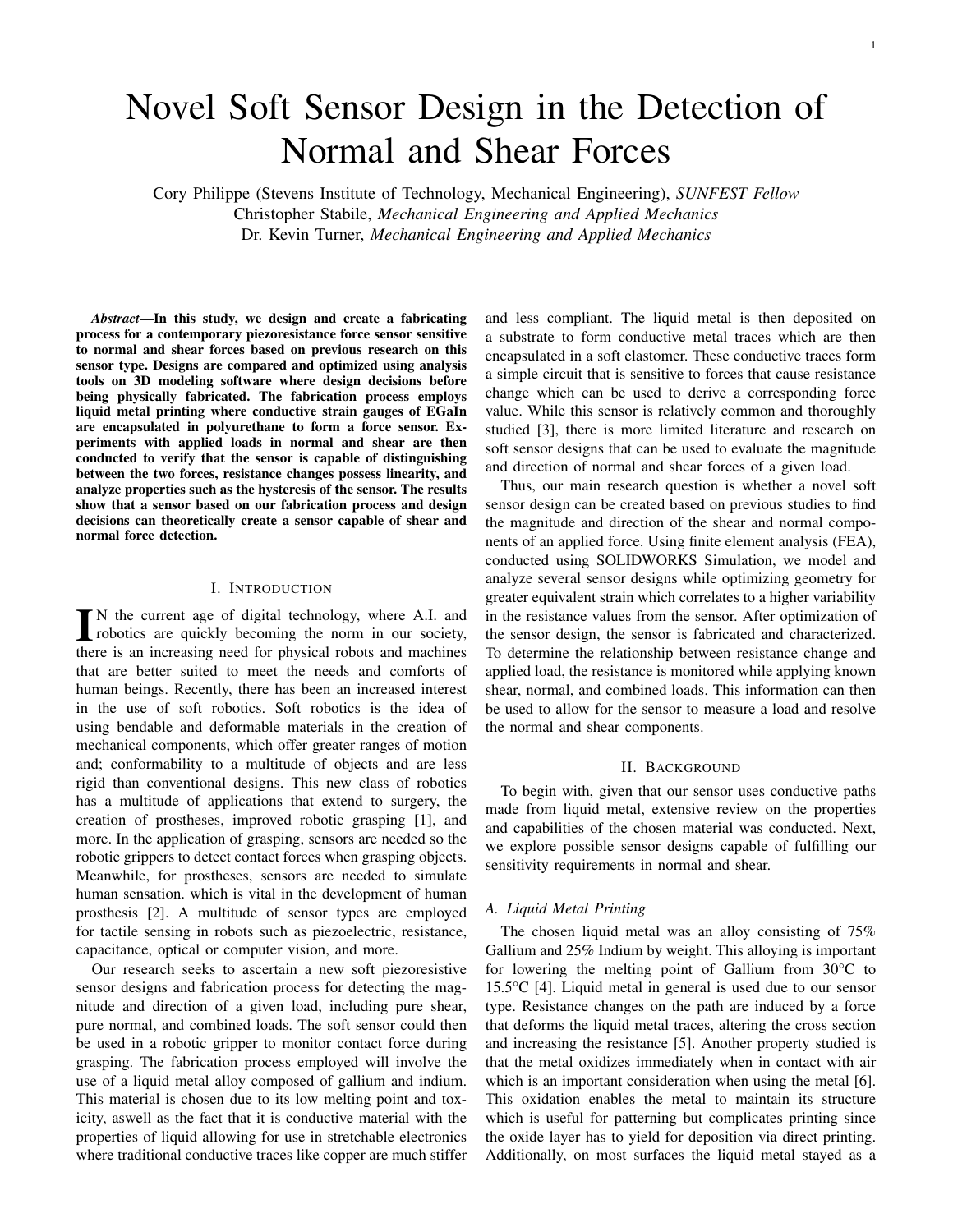# Novel Soft Sensor Design in the Detection of Normal and Shear Forces

Cory Philippe (Stevens Institute of Technology, Mechanical Engineering), *SUNFEST Fellow* Christopher Stabile, *Mechanical Engineering and Applied Mechanics* Dr. Kevin Turner, *Mechanical Engineering and Applied Mechanics*

*Abstract*—In this study, we design and create a fabricating process for a contemporary piezoresistance force sensor sensitive to normal and shear forces based on previous research on this sensor type. Designs are compared and optimized using analysis tools on 3D modeling software where design decisions before being physically fabricated. The fabrication process employs liquid metal printing where conductive strain gauges of EGaIn are encapsulated in polyurethane to form a force sensor. Experiments with applied loads in normal and shear are then conducted to verify that the sensor is capable of distinguishing between the two forces, resistance changes possess linearity, and analyze properties such as the hysteresis of the sensor. The results show that a sensor based on our fabrication process and design decisions can theoretically create a sensor capable of shear and normal force detection.

# I. INTRODUCTION

IN the current age of digital technology, where A.I. and<br>robotics are quickly becoming the norm in our society, robotics are quickly becoming the norm in our society, there is an increasing need for physical robots and machines that are better suited to meet the needs and comforts of human beings. Recently, there has been an increased interest in the use of soft robotics. Soft robotics is the idea of using bendable and deformable materials in the creation of mechanical components, which offer greater ranges of motion and; conformability to a multitude of objects and are less rigid than conventional designs. This new class of robotics has a multitude of applications that extend to surgery, the creation of prostheses, improved robotic grasping [1], and more. In the application of grasping, sensors are needed so the robotic grippers to detect contact forces when grasping objects. Meanwhile, for prostheses, sensors are needed to simulate human sensation. which is vital in the development of human prosthesis [2]. A multitude of sensor types are employed for tactile sensing in robots such as piezoelectric, resistance, capacitance, optical or computer vision, and more.

Our research seeks to ascertain a new soft piezoresistive sensor designs and fabrication process for detecting the magnitude and direction of a given load, including pure shear, pure normal, and combined loads. The soft sensor could then be used in a robotic gripper to monitor contact force during grasping. The fabrication process employed will involve the use of a liquid metal alloy composed of gallium and indium. This material is chosen due to its low melting point and toxicity, aswell as the fact that it is conductive material with the properties of liquid allowing for use in stretchable electronics where traditional conductive traces like copper are much stiffer and less compliant. The liquid metal is then deposited on a substrate to form conductive metal traces which are then encapsulated in a soft elastomer. These conductive traces form a simple circuit that is sensitive to forces that cause resistance change which can be used to derive a corresponding force value. While this sensor is relatively common and thoroughly studied [3], there is more limited literature and research on soft sensor designs that can be used to evaluate the magnitude and direction of normal and shear forces of a given load.

Thus, our main research question is whether a novel soft sensor design can be created based on previous studies to find the magnitude and direction of the shear and normal components of an applied force. Using finite element analysis (FEA), conducted using SOLIDWORKS Simulation, we model and analyze several sensor designs while optimizing geometry for greater equivalent strain which correlates to a higher variability in the resistance values from the sensor. After optimization of the sensor design, the sensor is fabricated and characterized. To determine the relationship between resistance change and applied load, the resistance is monitored while applying known shear, normal, and combined loads. This information can then be used to allow for the sensor to measure a load and resolve the normal and shear components.

# II. BACKGROUND

To begin with, given that our sensor uses conductive paths made from liquid metal, extensive review on the properties and capabilities of the chosen material was conducted. Next, we explore possible sensor designs capable of fulfilling our sensitivity requirements in normal and shear.

# *A. Liquid Metal Printing*

The chosen liquid metal was an alloy consisting of 75% Gallium and 25% Indium by weight. This alloying is important for lowering the melting point of Gallium from 30°C to 15.5°C [4]. Liquid metal in general is used due to our sensor type. Resistance changes on the path are induced by a force that deforms the liquid metal traces, altering the cross section and increasing the resistance [5]. Another property studied is that the metal oxidizes immediately when in contact with air which is an important consideration when using the metal [6]. This oxidation enables the metal to maintain its structure which is useful for patterning but complicates printing since the oxide layer has to yield for deposition via direct printing. Additionally, on most surfaces the liquid metal stayed as a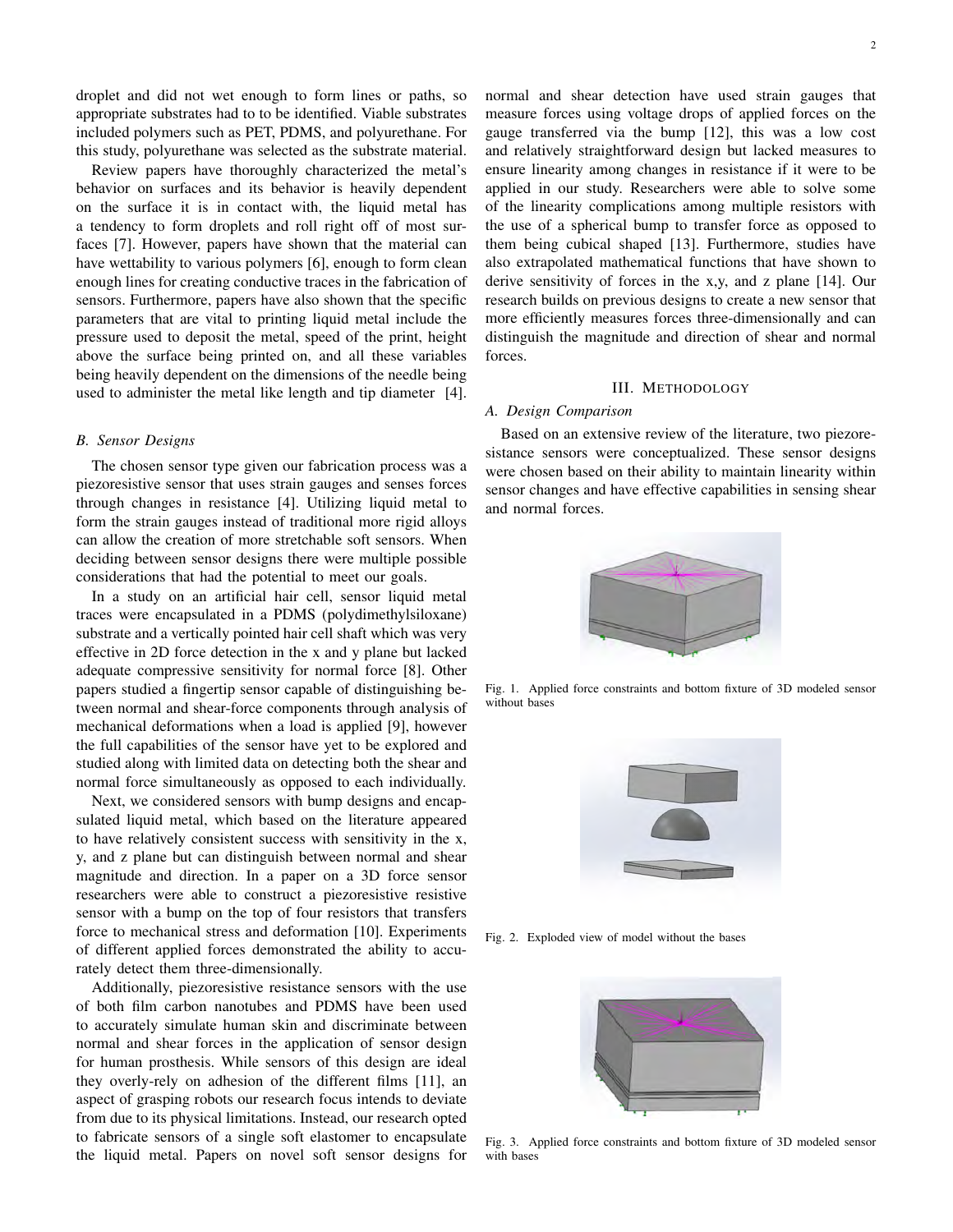droplet and did not wet enough to form lines or paths, so appropriate substrates had to to be identified. Viable substrates included polymers such as PET, PDMS, and polyurethane. For this study, polyurethane was selected as the substrate material.

Review papers have thoroughly characterized the metal's behavior on surfaces and its behavior is heavily dependent on the surface it is in contact with, the liquid metal has a tendency to form droplets and roll right off of most surfaces [7]. However, papers have shown that the material can have wettability to various polymers [6], enough to form clean enough lines for creating conductive traces in the fabrication of sensors. Furthermore, papers have also shown that the specific parameters that are vital to printing liquid metal include the pressure used to deposit the metal, speed of the print, height above the surface being printed on, and all these variables being heavily dependent on the dimensions of the needle being used to administer the metal like length and tip diameter [4].

## *B. Sensor Designs*

The chosen sensor type given our fabrication process was a piezoresistive sensor that uses strain gauges and senses forces through changes in resistance [4]. Utilizing liquid metal to form the strain gauges instead of traditional more rigid alloys can allow the creation of more stretchable soft sensors. When deciding between sensor designs there were multiple possible considerations that had the potential to meet our goals.

In a study on an artificial hair cell, sensor liquid metal traces were encapsulated in a PDMS (polydimethylsiloxane) substrate and a vertically pointed hair cell shaft which was very effective in 2D force detection in the x and y plane but lacked adequate compressive sensitivity for normal force [8]. Other papers studied a fingertip sensor capable of distinguishing between normal and shear-force components through analysis of mechanical deformations when a load is applied [9], however the full capabilities of the sensor have yet to be explored and studied along with limited data on detecting both the shear and normal force simultaneously as opposed to each individually.

Next, we considered sensors with bump designs and encapsulated liquid metal, which based on the literature appeared to have relatively consistent success with sensitivity in the x, y, and z plane but can distinguish between normal and shear magnitude and direction. In a paper on a 3D force sensor researchers were able to construct a piezoresistive resistive sensor with a bump on the top of four resistors that transfers force to mechanical stress and deformation [10]. Experiments of different applied forces demonstrated the ability to accurately detect them three-dimensionally.

Additionally, piezoresistive resistance sensors with the use of both film carbon nanotubes and PDMS have been used to accurately simulate human skin and discriminate between normal and shear forces in the application of sensor design for human prosthesis. While sensors of this design are ideal they overly-rely on adhesion of the different films [11], an aspect of grasping robots our research focus intends to deviate from due to its physical limitations. Instead, our research opted to fabricate sensors of a single soft elastomer to encapsulate the liquid metal. Papers on novel soft sensor designs for

normal and shear detection have used strain gauges that measure forces using voltage drops of applied forces on the gauge transferred via the bump [12], this was a low cost and relatively straightforward design but lacked measures to ensure linearity among changes in resistance if it were to be applied in our study. Researchers were able to solve some of the linearity complications among multiple resistors with the use of a spherical bump to transfer force as opposed to them being cubical shaped [13]. Furthermore, studies have also extrapolated mathematical functions that have shown to derive sensitivity of forces in the x,y, and z plane [14]. Our research builds on previous designs to create a new sensor that more efficiently measures forces three-dimensionally and can distinguish the magnitude and direction of shear and normal forces.

## III. METHODOLOGY

# *A. Design Comparison*

Based on an extensive review of the literature, two piezoresistance sensors were conceptualized. These sensor designs were chosen based on their ability to maintain linearity within sensor changes and have effective capabilities in sensing shear and normal forces.



Fig. 1. Applied force constraints and bottom fixture of 3D modeled sensor without bases



Fig. 2. Exploded view of model without the bases



Fig. 3. Applied force constraints and bottom fixture of 3D modeled sensor with bases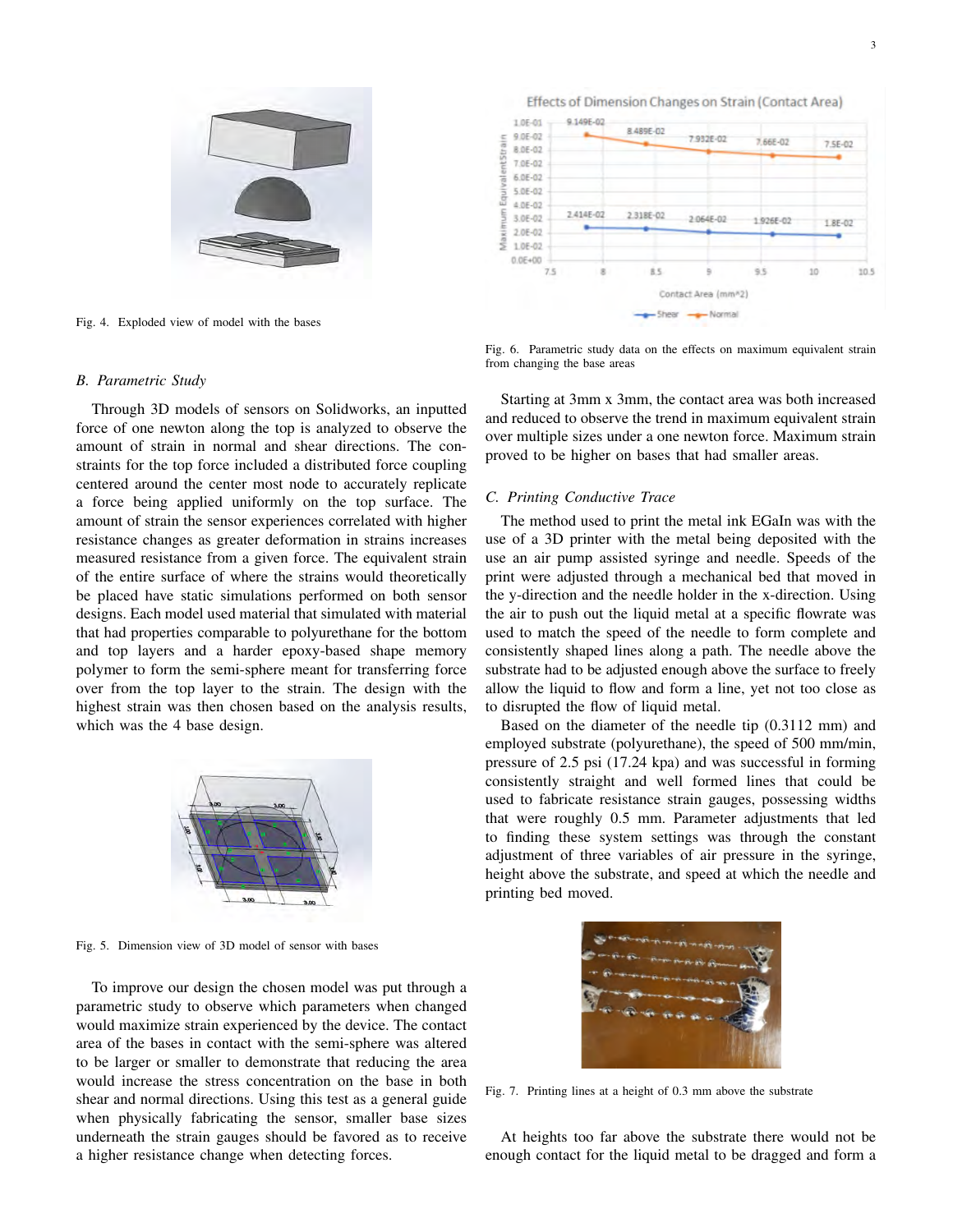

Fig. 4. Exploded view of model with the bases

# Effects of Dimension Changes on Strain (Contact Area)



#### *B. Parametric Study*

Through 3D models of sensors on Solidworks, an inputted force of one newton along the top is analyzed to observe the amount of strain in normal and shear directions. The constraints for the top force included a distributed force coupling centered around the center most node to accurately replicate a force being applied uniformly on the top surface. The amount of strain the sensor experiences correlated with higher resistance changes as greater deformation in strains increases measured resistance from a given force. The equivalent strain of the entire surface of where the strains would theoretically be placed have static simulations performed on both sensor designs. Each model used material that simulated with material that had properties comparable to polyurethane for the bottom and top layers and a harder epoxy-based shape memory polymer to form the semi-sphere meant for transferring force over from the top layer to the strain. The design with the highest strain was then chosen based on the analysis results, which was the 4 base design.



Fig. 5. Dimension view of 3D model of sensor with bases

To improve our design the chosen model was put through a parametric study to observe which parameters when changed would maximize strain experienced by the device. The contact area of the bases in contact with the semi-sphere was altered to be larger or smaller to demonstrate that reducing the area would increase the stress concentration on the base in both shear and normal directions. Using this test as a general guide when physically fabricating the sensor, smaller base sizes underneath the strain gauges should be favored as to receive a higher resistance change when detecting forces.

Fig. 6. Parametric study data on the effects on maximum equivalent strain from changing the base areas

Starting at 3mm x 3mm, the contact area was both increased and reduced to observe the trend in maximum equivalent strain over multiple sizes under a one newton force. Maximum strain proved to be higher on bases that had smaller areas.

# *C. Printing Conductive Trace*

The method used to print the metal ink EGaIn was with the use of a 3D printer with the metal being deposited with the use an air pump assisted syringe and needle. Speeds of the print were adjusted through a mechanical bed that moved in the y-direction and the needle holder in the x-direction. Using the air to push out the liquid metal at a specific flowrate was used to match the speed of the needle to form complete and consistently shaped lines along a path. The needle above the substrate had to be adjusted enough above the surface to freely allow the liquid to flow and form a line, yet not too close as to disrupted the flow of liquid metal.

Based on the diameter of the needle tip (0.3112 mm) and employed substrate (polyurethane), the speed of 500 mm/min, pressure of 2.5 psi (17.24 kpa) and was successful in forming consistently straight and well formed lines that could be used to fabricate resistance strain gauges, possessing widths that were roughly 0.5 mm. Parameter adjustments that led to finding these system settings was through the constant adjustment of three variables of air pressure in the syringe, height above the substrate, and speed at which the needle and printing bed moved.



Fig. 7. Printing lines at a height of 0.3 mm above the substrate

At heights too far above the substrate there would not be enough contact for the liquid metal to be dragged and form a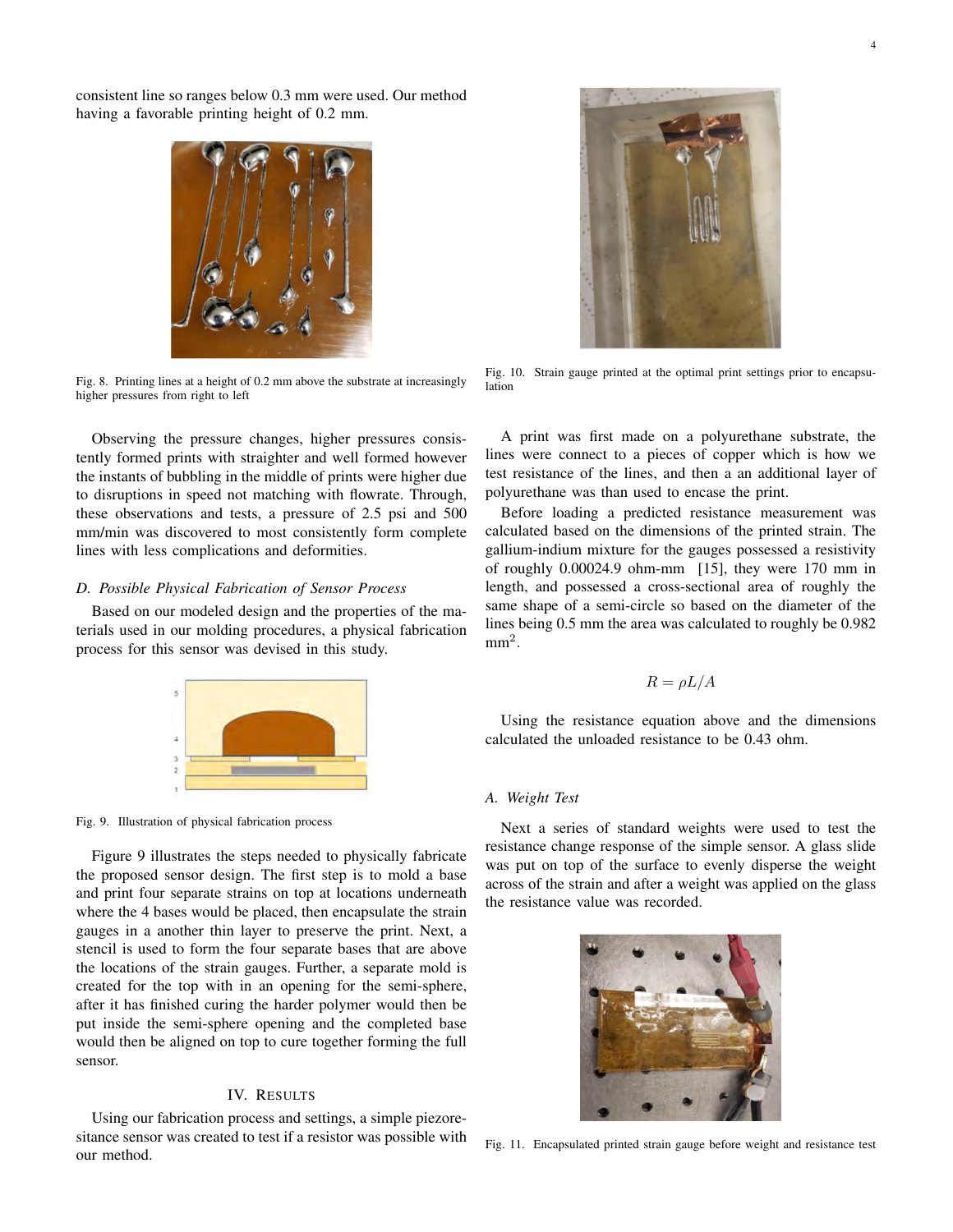consistent line so ranges below 0.3 mm were used. Our method having a favorable printing height of 0.2 mm.



Fig. 8. Printing lines at a height of 0.2 mm above the substrate at increasingly higher pressures from right to left

Observing the pressure changes, higher pressures consistently formed prints with straighter and well formed however the instants of bubbling in the middle of prints were higher due to disruptions in speed not matching with flowrate. Through, these observations and tests, a pressure of 2.5 psi and 500 mm/min was discovered to most consistently form complete lines with less complications and deformities.

## *D. Possible Physical Fabrication of Sensor Process*

Based on our modeled design and the properties of the materials used in our molding procedures, a physical fabrication process for this sensor was devised in this study.



Fig. 9. Illustration of physical fabrication process

Figure 9 illustrates the steps needed to physically fabricate the proposed sensor design. The first step is to mold a base and print four separate strains on top at locations underneath where the 4 bases would be placed, then encapsulate the strain gauges in a another thin layer to preserve the print. Next, a stencil is used to form the four separate bases that are above the locations of the strain gauges. Further, a separate mold is created for the top with in an opening for the semi-sphere, after it has finished curing the harder polymer would then be put inside the semi-sphere opening and the completed base would then be aligned on top to cure together forming the full sensor.

# IV. RESULTS

Using our fabrication process and settings, a simple piezoresitance sensor was created to test if a resistor was possible with our method.



Fig. 10. Strain gauge printed at the optimal print settings prior to encapsulation

A print was first made on a polyurethane substrate, the lines were connect to a pieces of copper which is how we test resistance of the lines, and then a an additional layer of polyurethane was than used to encase the print.

Before loading a predicted resistance measurement was calculated based on the dimensions of the printed strain. The gallium-indium mixture for the gauges possessed a resistivity of roughly 0.00024.9 ohm-mm [15], they were 170 mm in length, and possessed a cross-sectional area of roughly the same shape of a semi-circle so based on the diameter of the lines being 0.5 mm the area was calculated to roughly be 0.982  $mm<sup>2</sup>$ .

$$
R = \rho L / A
$$

Using the resistance equation above and the dimensions calculated the unloaded resistance to be 0.43 ohm.

# *A. Weight Test*

Next a series of standard weights were used to test the resistance change response of the simple sensor. A glass slide was put on top of the surface to evenly disperse the weight across of the strain and after a weight was applied on the glass the resistance value was recorded.



Fig. 11. Encapsulated printed strain gauge before weight and resistance test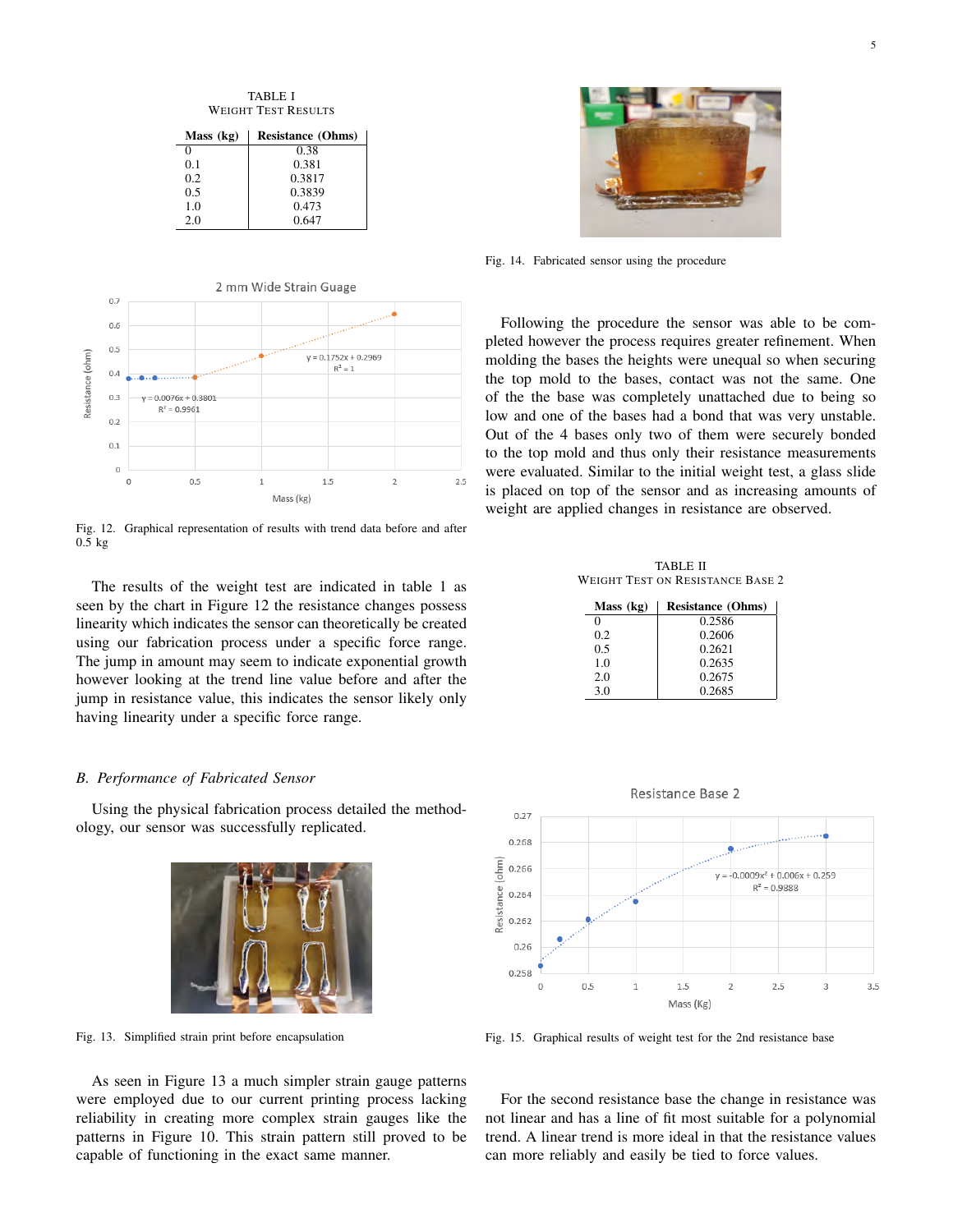TABLE I WEIGHT TEST RESULTS

| Mass (kg) | <b>Resistance (Ohms)</b> |
|-----------|--------------------------|
| 0         | 0.38                     |
| 0.1       | 0.381                    |
| 0.2       | 0.3817                   |
| 0.5       | 0.3839                   |
| 1.0       | 0.473                    |
| 2.0       | 0.647                    |



Fig. 12. Graphical representation of results with trend data before and after 0.5 kg

The results of the weight test are indicated in table 1 as seen by the chart in Figure 12 the resistance changes possess linearity which indicates the sensor can theoretically be created using our fabrication process under a specific force range. The jump in amount may seem to indicate exponential growth however looking at the trend line value before and after the jump in resistance value, this indicates the sensor likely only having linearity under a specific force range.

## *B. Performance of Fabricated Sensor*

Using the physical fabrication process detailed the methodology, our sensor was successfully replicated.



Fig. 13. Simplified strain print before encapsulation

As seen in Figure 13 a much simpler strain gauge patterns were employed due to our current printing process lacking reliability in creating more complex strain gauges like the patterns in Figure 10. This strain pattern still proved to be capable of functioning in the exact same manner.



Fig. 14. Fabricated sensor using the procedure

Following the procedure the sensor was able to be completed however the process requires greater refinement. When molding the bases the heights were unequal so when securing the top mold to the bases, contact was not the same. One of the the base was completely unattached due to being so low and one of the bases had a bond that was very unstable. Out of the 4 bases only two of them were securely bonded to the top mold and thus only their resistance measurements were evaluated. Similar to the initial weight test, a glass slide is placed on top of the sensor and as increasing amounts of weight are applied changes in resistance are observed.

TABLE II WEIGHT TEST ON RESISTANCE BASE 2

| Mass (kg) | <b>Resistance (Ohms)</b> |
|-----------|--------------------------|
| 0         | 0.2586                   |
| 0.2       | 0.2606                   |
| 0.5       | 0.2621                   |
| 1.0       | 0.2635                   |
| 2.0       | 0.2675                   |
| 3.0       | 0.2685                   |



Fig. 15. Graphical results of weight test for the 2nd resistance base

For the second resistance base the change in resistance was not linear and has a line of fit most suitable for a polynomial trend. A linear trend is more ideal in that the resistance values can more reliably and easily be tied to force values.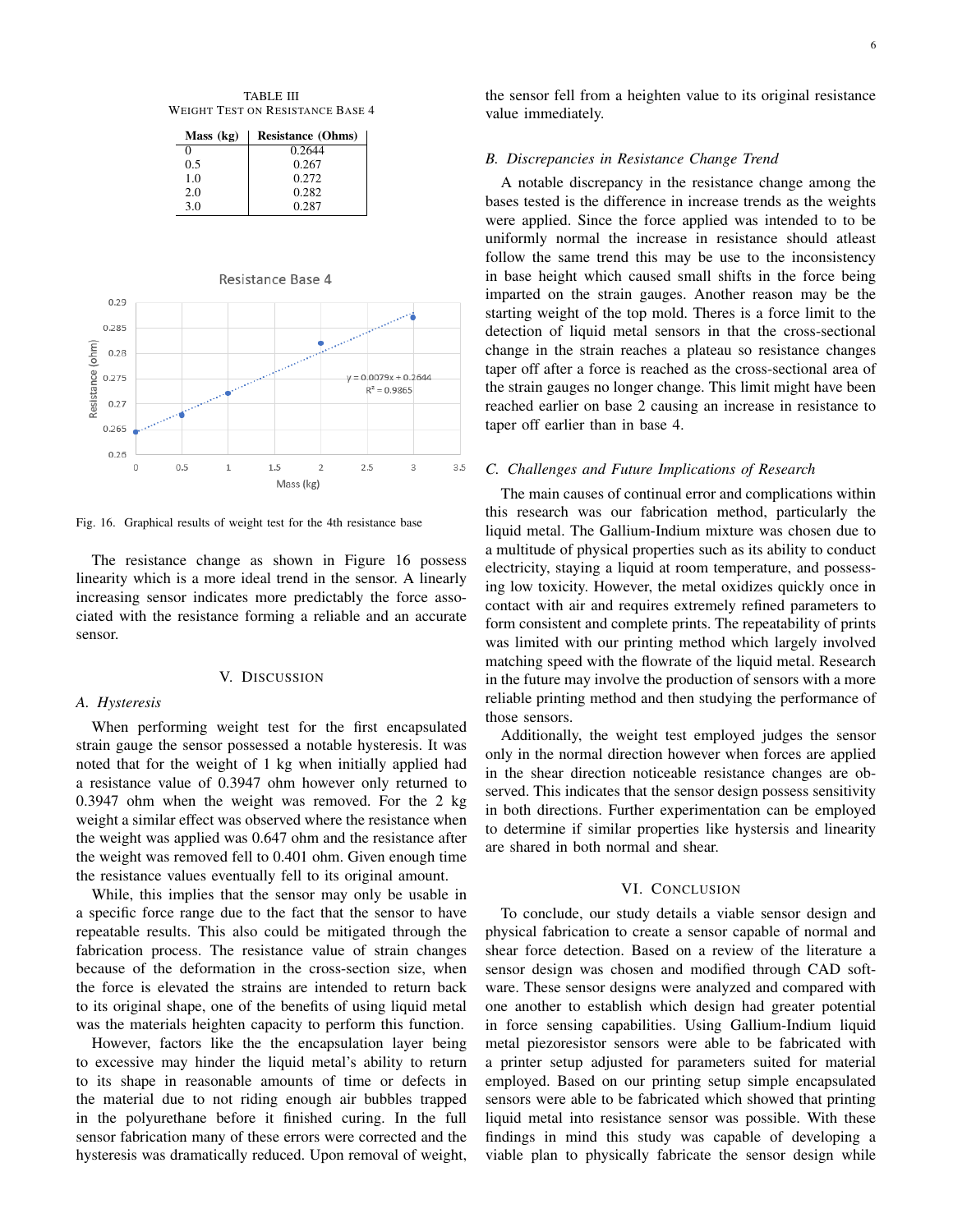TABLE III WEIGHT TEST ON RESISTANCE BASE 4

| Mass (kg) | <b>Resistance (Ohms)</b> |
|-----------|--------------------------|
| 0         | 0.2644                   |
| 0.5       | 0.267                    |
| 1.0       | 0.272                    |
| 2.0       | 0.282                    |
| 3.0       | 0.287                    |



Fig. 16. Graphical results of weight test for the 4th resistance base

The resistance change as shown in Figure 16 possess linearity which is a more ideal trend in the sensor. A linearly increasing sensor indicates more predictably the force associated with the resistance forming a reliable and an accurate sensor.

#### V. DISCUSSION

## *A. Hysteresis*

When performing weight test for the first encapsulated strain gauge the sensor possessed a notable hysteresis. It was noted that for the weight of 1 kg when initially applied had a resistance value of 0.3947 ohm however only returned to 0.3947 ohm when the weight was removed. For the 2 kg weight a similar effect was observed where the resistance when the weight was applied was 0.647 ohm and the resistance after the weight was removed fell to 0.401 ohm. Given enough time the resistance values eventually fell to its original amount.

While, this implies that the sensor may only be usable in a specific force range due to the fact that the sensor to have repeatable results. This also could be mitigated through the fabrication process. The resistance value of strain changes because of the deformation in the cross-section size, when the force is elevated the strains are intended to return back to its original shape, one of the benefits of using liquid metal was the materials heighten capacity to perform this function.

However, factors like the the encapsulation layer being to excessive may hinder the liquid metal's ability to return to its shape in reasonable amounts of time or defects in the material due to not riding enough air bubbles trapped in the polyurethane before it finished curing. In the full sensor fabrication many of these errors were corrected and the hysteresis was dramatically reduced. Upon removal of weight, the sensor fell from a heighten value to its original resistance value immediately.

## *B. Discrepancies in Resistance Change Trend*

A notable discrepancy in the resistance change among the bases tested is the difference in increase trends as the weights were applied. Since the force applied was intended to to be uniformly normal the increase in resistance should atleast follow the same trend this may be use to the inconsistency in base height which caused small shifts in the force being imparted on the strain gauges. Another reason may be the starting weight of the top mold. Theres is a force limit to the detection of liquid metal sensors in that the cross-sectional change in the strain reaches a plateau so resistance changes taper off after a force is reached as the cross-sectional area of the strain gauges no longer change. This limit might have been reached earlier on base 2 causing an increase in resistance to taper off earlier than in base 4.

# *C. Challenges and Future Implications of Research*

The main causes of continual error and complications within this research was our fabrication method, particularly the liquid metal. The Gallium-Indium mixture was chosen due to a multitude of physical properties such as its ability to conduct electricity, staying a liquid at room temperature, and possessing low toxicity. However, the metal oxidizes quickly once in contact with air and requires extremely refined parameters to form consistent and complete prints. The repeatability of prints was limited with our printing method which largely involved matching speed with the flowrate of the liquid metal. Research in the future may involve the production of sensors with a more reliable printing method and then studying the performance of those sensors.

Additionally, the weight test employed judges the sensor only in the normal direction however when forces are applied in the shear direction noticeable resistance changes are observed. This indicates that the sensor design possess sensitivity in both directions. Further experimentation can be employed to determine if similar properties like hystersis and linearity are shared in both normal and shear.

# VI. CONCLUSION

To conclude, our study details a viable sensor design and physical fabrication to create a sensor capable of normal and shear force detection. Based on a review of the literature a sensor design was chosen and modified through CAD software. These sensor designs were analyzed and compared with one another to establish which design had greater potential in force sensing capabilities. Using Gallium-Indium liquid metal piezoresistor sensors were able to be fabricated with a printer setup adjusted for parameters suited for material employed. Based on our printing setup simple encapsulated sensors were able to be fabricated which showed that printing liquid metal into resistance sensor was possible. With these findings in mind this study was capable of developing a viable plan to physically fabricate the sensor design while